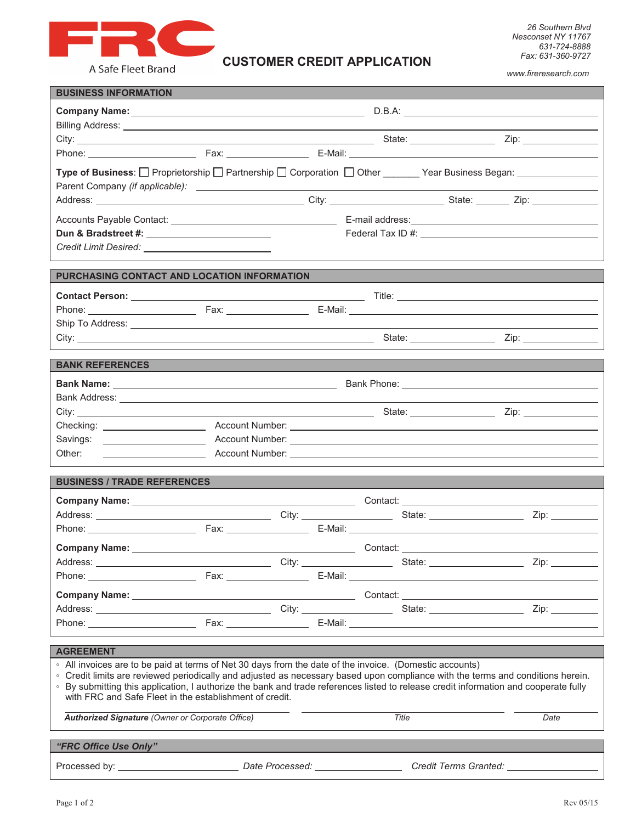

A Safe Fleet Brand

*www.fireresearch.com* 

| <b>BUSINESS INFORMATION</b>                                                                                                                                                                                                                                             |                                              |  |  |          |  |                                                                                                                 |
|-------------------------------------------------------------------------------------------------------------------------------------------------------------------------------------------------------------------------------------------------------------------------|----------------------------------------------|--|--|----------|--|-----------------------------------------------------------------------------------------------------------------|
|                                                                                                                                                                                                                                                                         | Company Name: <u>company Name:</u><br>D.B.A. |  |  |          |  |                                                                                                                 |
|                                                                                                                                                                                                                                                                         |                                              |  |  |          |  |                                                                                                                 |
|                                                                                                                                                                                                                                                                         |                                              |  |  |          |  |                                                                                                                 |
|                                                                                                                                                                                                                                                                         |                                              |  |  |          |  |                                                                                                                 |
|                                                                                                                                                                                                                                                                         |                                              |  |  |          |  | Type of Business: □ Proprietorship □ Partnership □ Corporation □ Other ______ Year Business Began: ____________ |
|                                                                                                                                                                                                                                                                         |                                              |  |  |          |  |                                                                                                                 |
|                                                                                                                                                                                                                                                                         |                                              |  |  |          |  | Address: 2008. 2010. 2010. 2010. 2010. 2010. 2010. 2010. 2010. 2010. 2010. 2010. 2010. 2010. 2010. 2010. 2010.  |
|                                                                                                                                                                                                                                                                         |                                              |  |  |          |  |                                                                                                                 |
|                                                                                                                                                                                                                                                                         |                                              |  |  |          |  |                                                                                                                 |
|                                                                                                                                                                                                                                                                         |                                              |  |  |          |  |                                                                                                                 |
|                                                                                                                                                                                                                                                                         |                                              |  |  |          |  |                                                                                                                 |
| PURCHASING CONTACT AND LOCATION INFORMATION                                                                                                                                                                                                                             |                                              |  |  |          |  |                                                                                                                 |
|                                                                                                                                                                                                                                                                         |                                              |  |  |          |  |                                                                                                                 |
|                                                                                                                                                                                                                                                                         |                                              |  |  |          |  |                                                                                                                 |
|                                                                                                                                                                                                                                                                         |                                              |  |  |          |  |                                                                                                                 |
|                                                                                                                                                                                                                                                                         |                                              |  |  |          |  |                                                                                                                 |
|                                                                                                                                                                                                                                                                         |                                              |  |  |          |  |                                                                                                                 |
| <b>BANK REFERENCES</b>                                                                                                                                                                                                                                                  |                                              |  |  |          |  |                                                                                                                 |
|                                                                                                                                                                                                                                                                         |                                              |  |  |          |  |                                                                                                                 |
|                                                                                                                                                                                                                                                                         |                                              |  |  |          |  |                                                                                                                 |
|                                                                                                                                                                                                                                                                         |                                              |  |  |          |  |                                                                                                                 |
|                                                                                                                                                                                                                                                                         |                                              |  |  |          |  |                                                                                                                 |
|                                                                                                                                                                                                                                                                         |                                              |  |  |          |  |                                                                                                                 |
| Other:                                                                                                                                                                                                                                                                  |                                              |  |  |          |  |                                                                                                                 |
|                                                                                                                                                                                                                                                                         |                                              |  |  |          |  |                                                                                                                 |
| <b>BUSINESS / TRADE REFERENCES</b>                                                                                                                                                                                                                                      |                                              |  |  |          |  |                                                                                                                 |
|                                                                                                                                                                                                                                                                         |                                              |  |  |          |  |                                                                                                                 |
|                                                                                                                                                                                                                                                                         |                                              |  |  |          |  | Zip: __________                                                                                                 |
|                                                                                                                                                                                                                                                                         |                                              |  |  |          |  |                                                                                                                 |
| <b>Company Name:</b>                                                                                                                                                                                                                                                    |                                              |  |  | Contact: |  |                                                                                                                 |
|                                                                                                                                                                                                                                                                         |                                              |  |  |          |  |                                                                                                                 |
|                                                                                                                                                                                                                                                                         |                                              |  |  |          |  |                                                                                                                 |
|                                                                                                                                                                                                                                                                         |                                              |  |  |          |  |                                                                                                                 |
|                                                                                                                                                                                                                                                                         |                                              |  |  |          |  | Address: 2008. 2010. City: 2008. City: 2008. City: 2008. State: 2008. 2010. 2010. 2010. 2010. 2010. 2010. 2010  |
|                                                                                                                                                                                                                                                                         |                                              |  |  |          |  |                                                                                                                 |
|                                                                                                                                                                                                                                                                         |                                              |  |  |          |  |                                                                                                                 |
| <b>AGREEMENT</b>                                                                                                                                                                                                                                                        |                                              |  |  |          |  |                                                                                                                 |
| . All invoices are to be paid at terms of Net 30 days from the date of the invoice. (Domestic accounts)                                                                                                                                                                 |                                              |  |  |          |  |                                                                                                                 |
| ∘ Credit limits are reviewed periodically and adjusted as necessary based upon compliance with the terms and conditions herein.<br>• By submitting this application, I authorize the bank and trade references listed to release credit information and cooperate fully |                                              |  |  |          |  |                                                                                                                 |
| with FRC and Safe Fleet in the establishment of credit.                                                                                                                                                                                                                 |                                              |  |  |          |  |                                                                                                                 |
| Title<br><b>Authorized Signature (Owner or Corporate Office)</b><br>Date                                                                                                                                                                                                |                                              |  |  |          |  |                                                                                                                 |
|                                                                                                                                                                                                                                                                         |                                              |  |  |          |  |                                                                                                                 |
| "FRC Office Use Only"                                                                                                                                                                                                                                                   |                                              |  |  |          |  |                                                                                                                 |
|                                                                                                                                                                                                                                                                         |                                              |  |  |          |  |                                                                                                                 |
|                                                                                                                                                                                                                                                                         |                                              |  |  |          |  |                                                                                                                 |

**CUSTOMER CREDIT APPLICATION**